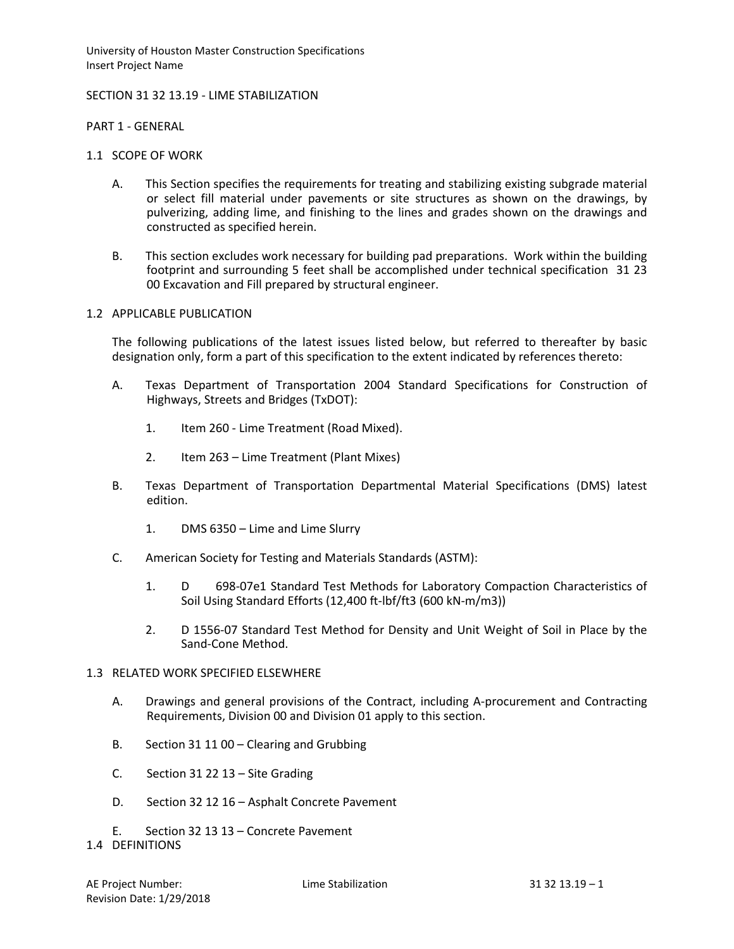University of Houston Master Construction Specifications Insert Project Name

## SECTION 31 32 13.19 - LIME STABILIZATION

PART 1 - GENERAL

- 1.1 SCOPE OF WORK
	- A. This Section specifies the requirements for treating and stabilizing existing subgrade material or select fill material under pavements or site structures as shown on the drawings, by pulverizing, adding lime, and finishing to the lines and grades shown on the drawings and constructed as specified herein.
	- B. This section excludes work necessary for building pad preparations. Work within the building footprint and surrounding 5 feet shall be accomplished under technical specification 31 23 00 Excavation and Fill prepared by structural engineer.

## 1.2 APPLICABLE PUBLICATION

The following publications of the latest issues listed below, but referred to thereafter by basic designation only, form a part of this specification to the extent indicated by references thereto:

- A. Texas Department of Transportation 2004 Standard Specifications for Construction of Highways, Streets and Bridges (TxDOT):
	- 1. Item 260 Lime Treatment (Road Mixed).
	- 2. Item 263 Lime Treatment (Plant Mixes)
- B. Texas Department of Transportation Departmental Material Specifications (DMS) latest edition.
	- 1. DMS 6350 Lime and Lime Slurry
- C. American Society for Testing and Materials Standards (ASTM):
	- 1. D 698-07e1 Standard Test Methods for Laboratory Compaction Characteristics of Soil Using Standard Efforts (12,400 ft-lbf/ft3 (600 kN-m/m3))
	- 2. D 1556-07 Standard Test Method for Density and Unit Weight of Soil in Place by the Sand-Cone Method.

# 1.3 RELATED WORK SPECIFIED ELSEWHERE

- A. Drawings and general provisions of the Contract, including A-procurement and Contracting Requirements, Division 00 and Division 01 apply to this section.
- B. Section 31 11 00 Clearing and Grubbing
- C. Section 31 22 13 Site Grading
- D. Section 32 12 16 Asphalt Concrete Pavement
- E. Section 32 13 13 Concrete Pavement

#### 1.4 DEFINITIONS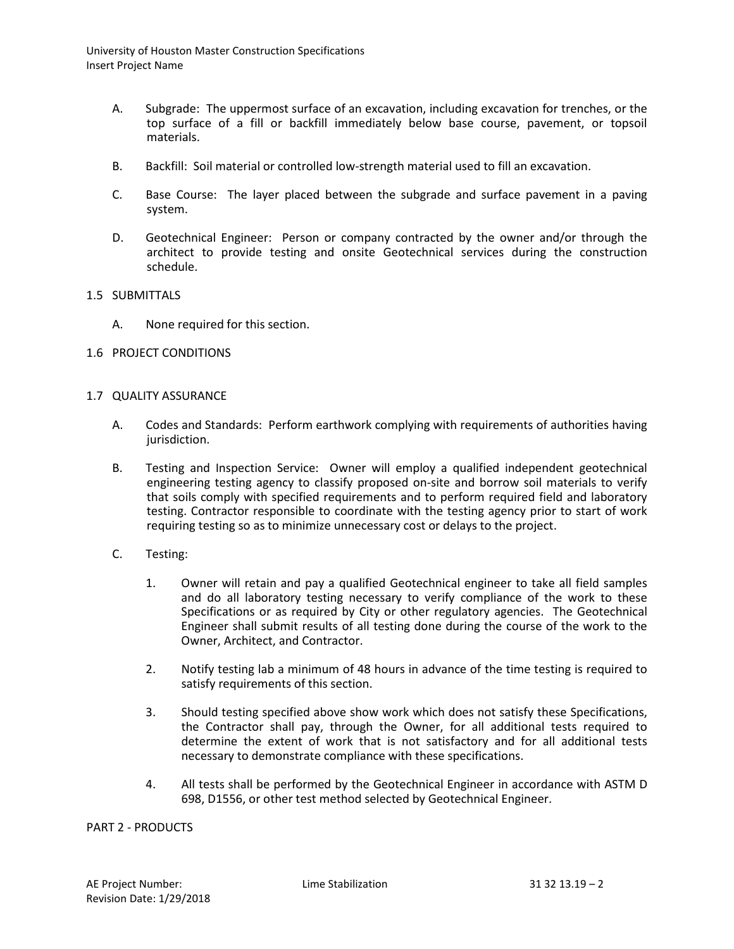University of Houston Master Construction Specifications Insert Project Name

- A. Subgrade: The uppermost surface of an excavation, including excavation for trenches, or the top surface of a fill or backfill immediately below base course, pavement, or topsoil materials.
- B. Backfill: Soil material or controlled low-strength material used to fill an excavation.
- C. Base Course: The layer placed between the subgrade and surface pavement in a paving system.
- D. Geotechnical Engineer: Person or company contracted by the owner and/or through the architect to provide testing and onsite Geotechnical services during the construction schedule.

## 1.5 SUBMITTALS

A. None required for this section.

#### 1.6 PROJECT CONDITIONS

## 1.7 QUALITY ASSURANCE

- A. Codes and Standards: Perform earthwork complying with requirements of authorities having jurisdiction.
- B. Testing and Inspection Service: Owner will employ a qualified independent geotechnical engineering testing agency to classify proposed on-site and borrow soil materials to verify that soils comply with specified requirements and to perform required field and laboratory testing. Contractor responsible to coordinate with the testing agency prior to start of work requiring testing so as to minimize unnecessary cost or delays to the project.
- C. Testing:
	- 1. Owner will retain and pay a qualified Geotechnical engineer to take all field samples and do all laboratory testing necessary to verify compliance of the work to these Specifications or as required by City or other regulatory agencies. The Geotechnical Engineer shall submit results of all testing done during the course of the work to the Owner, Architect, and Contractor.
	- 2. Notify testing lab a minimum of 48 hours in advance of the time testing is required to satisfy requirements of this section.
	- 3. Should testing specified above show work which does not satisfy these Specifications, the Contractor shall pay, through the Owner, for all additional tests required to determine the extent of work that is not satisfactory and for all additional tests necessary to demonstrate compliance with these specifications.
	- 4. All tests shall be performed by the Geotechnical Engineer in accordance with ASTM D 698, D1556, or other test method selected by Geotechnical Engineer.

#### PART 2 - PRODUCTS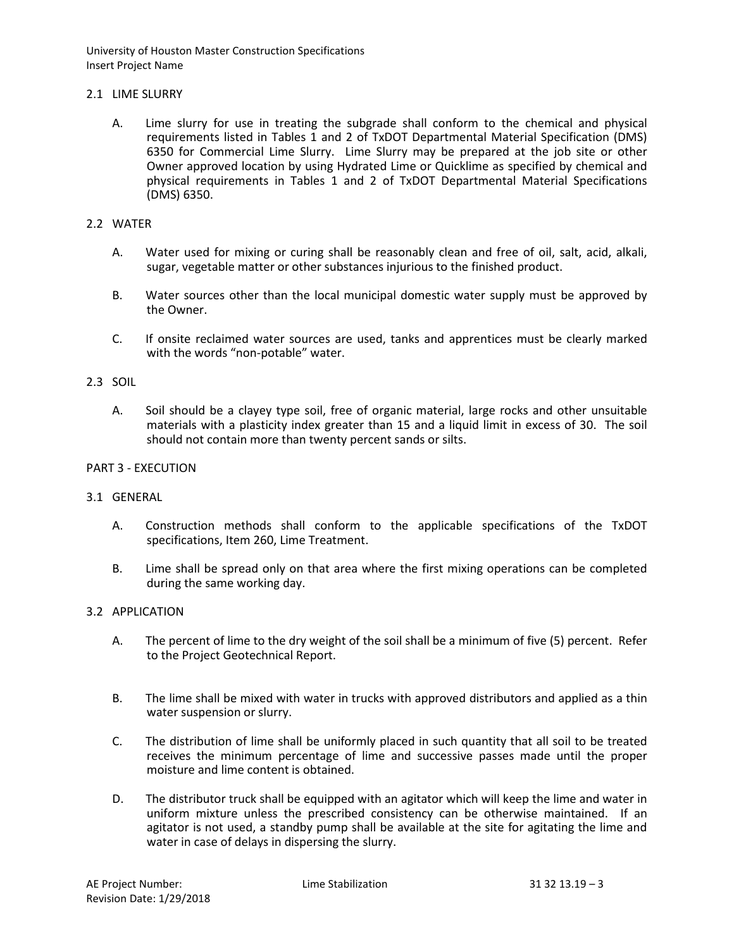University of Houston Master Construction Specifications Insert Project Name

## 2.1 LIME SLURRY

A. Lime slurry for use in treating the subgrade shall conform to the chemical and physical requirements listed in Tables 1 and 2 of TxDOT Departmental Material Specification (DMS) 6350 for Commercial Lime Slurry. Lime Slurry may be prepared at the job site or other Owner approved location by using Hydrated Lime or Quicklime as specified by chemical and physical requirements in Tables 1 and 2 of TxDOT Departmental Material Specifications (DMS) 6350.

# 2.2 WATER

- A. Water used for mixing or curing shall be reasonably clean and free of oil, salt, acid, alkali, sugar, vegetable matter or other substances injurious to the finished product.
- B. Water sources other than the local municipal domestic water supply must be approved by the Owner.
- C. If onsite reclaimed water sources are used, tanks and apprentices must be clearly marked with the words "non-potable" water.

# 2.3 SOIL

A. Soil should be a clayey type soil, free of organic material, large rocks and other unsuitable materials with a plasticity index greater than 15 and a liquid limit in excess of 30. The soil should not contain more than twenty percent sands or silts.

### PART 3 - EXECUTION

#### 3.1 GENERAL

- A. Construction methods shall conform to the applicable specifications of the TxDOT specifications, Item 260, Lime Treatment.
- B. Lime shall be spread only on that area where the first mixing operations can be completed during the same working day.

## 3.2 APPLICATION

- A. The percent of lime to the dry weight of the soil shall be a minimum of five (5) percent. Refer to the Project Geotechnical Report.
- B. The lime shall be mixed with water in trucks with approved distributors and applied as a thin water suspension or slurry.
- C. The distribution of lime shall be uniformly placed in such quantity that all soil to be treated receives the minimum percentage of lime and successive passes made until the proper moisture and lime content is obtained.
- D. The distributor truck shall be equipped with an agitator which will keep the lime and water in uniform mixture unless the prescribed consistency can be otherwise maintained. If an agitator is not used, a standby pump shall be available at the site for agitating the lime and water in case of delays in dispersing the slurry.